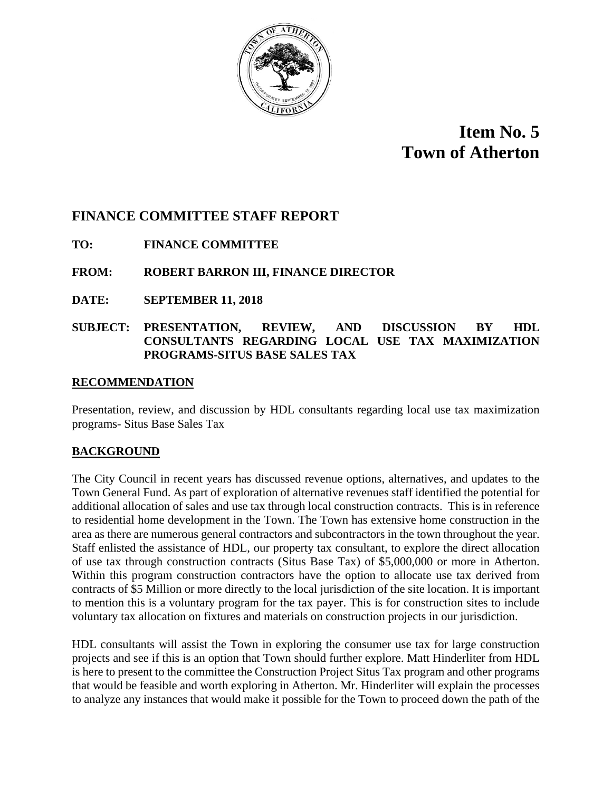

# **Item No. 5 Town of Atherton**

# **FINANCE COMMITTEE STAFF REPORT**

## **TO: FINANCE COMMITTEE**

## **FROM: ROBERT BARRON III, FINANCE DIRECTOR**

**DATE: SEPTEMBER 11, 2018**

#### **SUBJECT: PRESENTATION, REVIEW, AND DISCUSSION BY HDL CONSULTANTS REGARDING LOCAL USE TAX MAXIMIZATION PROGRAMS-SITUS BASE SALES TAX**

#### **RECOMMENDATION**

Presentation, review, and discussion by HDL consultants regarding local use tax maximization programs- Situs Base Sales Tax

#### **BACKGROUND**

The City Council in recent years has discussed revenue options, alternatives, and updates to the Town General Fund. As part of exploration of alternative revenues staff identified the potential for additional allocation of sales and use tax through local construction contracts. This is in reference to residential home development in the Town. The Town has extensive home construction in the area as there are numerous general contractors and subcontractors in the town throughout the year. Staff enlisted the assistance of HDL, our property tax consultant, to explore the direct allocation of use tax through construction contracts (Situs Base Tax) of \$5,000,000 or more in Atherton. Within this program construction contractors have the option to allocate use tax derived from contracts of \$5 Million or more directly to the local jurisdiction of the site location. It is important to mention this is a voluntary program for the tax payer. This is for construction sites to include voluntary tax allocation on fixtures and materials on construction projects in our jurisdiction.

HDL consultants will assist the Town in exploring the consumer use tax for large construction projects and see if this is an option that Town should further explore. Matt Hinderliter from HDL is here to present to the committee the Construction Project Situs Tax program and other programs that would be feasible and worth exploring in Atherton. Mr. Hinderliter will explain the processes to analyze any instances that would make it possible for the Town to proceed down the path of the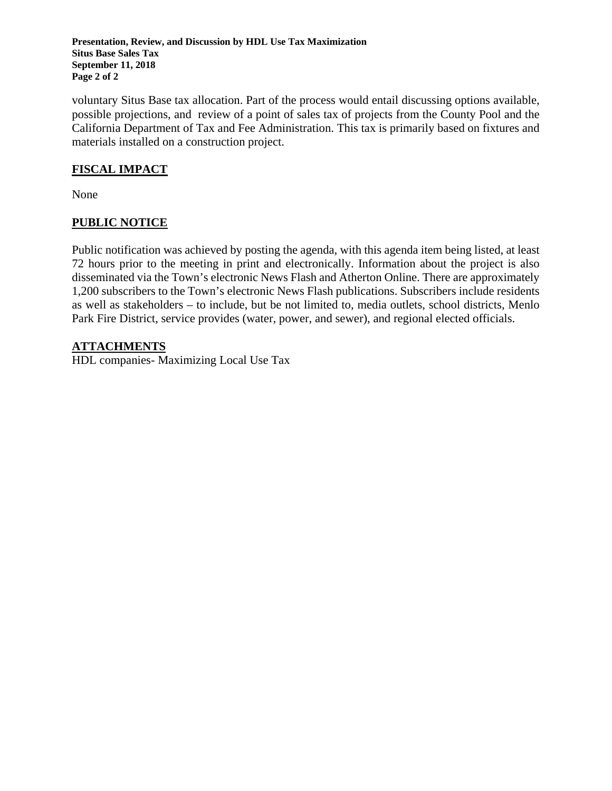**Presentation, Review, and Discussion by HDL Use Tax Maximization Situs Base Sales Tax September 11, 2018 Page 2 of 2**

voluntary Situs Base tax allocation. Part of the process would entail discussing options available, possible projections, and review of a point of sales tax of projects from the County Pool and the California Department of Tax and Fee Administration. This tax is primarily based on fixtures and materials installed on a construction project.

### **FISCAL IMPACT**

None

## **PUBLIC NOTICE**

Public notification was achieved by posting the agenda, with this agenda item being listed, at least 72 hours prior to the meeting in print and electronically. Information about the project is also disseminated via the Town's electronic News Flash and Atherton Online. There are approximately 1,200 subscribers to the Town's electronic News Flash publications. Subscribers include residents as well as stakeholders – to include, but be not limited to, media outlets, school districts, Menlo Park Fire District, service provides (water, power, and sewer), and regional elected officials.

#### **ATTACHMENTS**

HDL companies- Maximizing Local Use Tax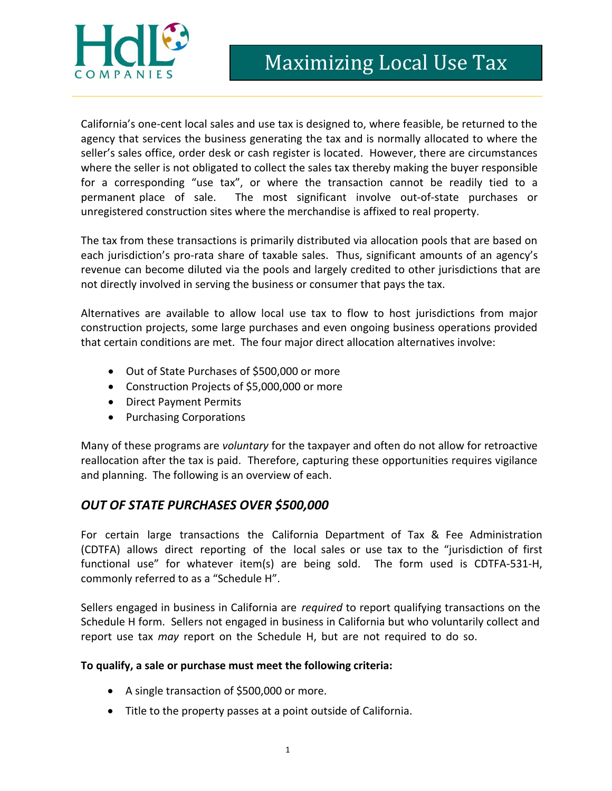

California's one-cent local sales and use tax is designed to, where feasible, be returned to the agency that services the business generating the tax and is normally allocated to where the seller's sales office, order desk or cash register is located. However, there are circumstances where the seller is not obligated to collect the sales tax thereby making the buyer responsible for a corresponding "use tax", or where the transaction cannot be readily tied to a permanent place of sale. The most significant involve out-of-state purchases or unregistered construction sites where the merchandise is affixed to real property.

The tax from these transactions is primarily distributed via allocation pools that are based on each jurisdiction's pro-rata share of taxable sales. Thus, significant amounts of an agency's revenue can become diluted via the pools and largely credited to other jurisdictions that are not directly involved in serving the business or consumer that pays the tax.

Alternatives are available to allow local use tax to flow to host jurisdictions from major construction projects, some large purchases and even ongoing business operations provided that certain conditions are met. The four major direct allocation alternatives involve:

- Out of State Purchases of \$500,000 or more
- Construction Projects of \$5,000,000 or more
- Direct Payment Permits
- Purchasing Corporations

Many of these programs are *voluntary* for the taxpayer and often do not allow for retroactive reallocation after the tax is paid. Therefore, capturing these opportunities requires vigilance and planning. The following is an overview of each.

#### *OUT OF STATE PURCHASES OVER \$500,000*

For certain large transactions the California Department of Tax & Fee Administration (CDTFA) allows direct reporting of the local sales or use tax to the "jurisdiction of first functional use" for whatever item(s) are being sold. The form used is CDTFA-531-H, commonly referred to as a "Schedule H".

Sellers engaged in business in California are *required* to report qualifying transactions on the Schedule H form. Sellers not engaged in business in California but who voluntarily collect and report use tax *may* report on the Schedule H, but are not required to do so.

#### **To qualify, a sale or purchase must meet the following criteria:**

- A single transaction of \$500,000 or more.
- Title to the property passes at a point outside of California.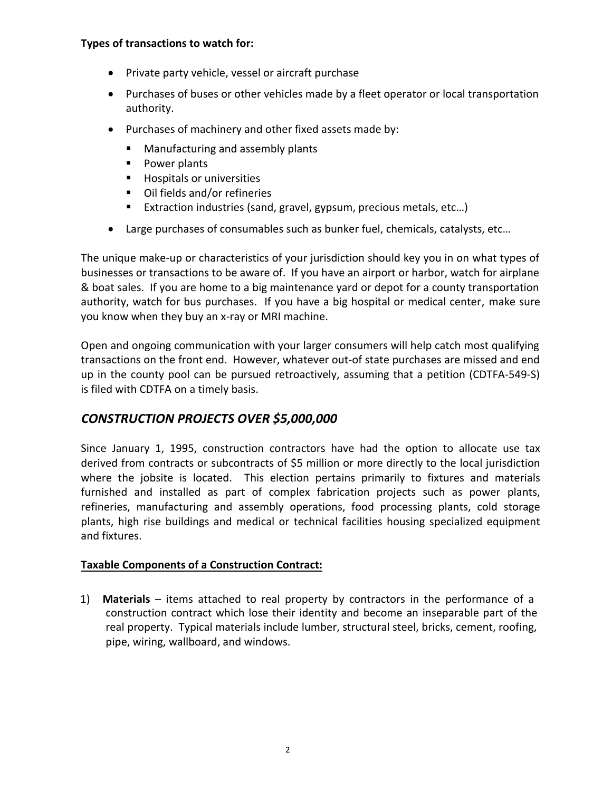#### **Types of transactions to watch for:**

- Private party vehicle, vessel or aircraft purchase
- Purchases of buses or other vehicles made by a fleet operator or local transportation authority.
- Purchases of machinery and other fixed assets made by:
	- **Manufacturing and assembly plants**
	- **Power plants**
	- **Hospitals or universities**
	- Oil fields and/or refineries
	- Extraction industries (sand, gravel, gypsum, precious metals, etc...)
- Large purchases of consumables such as bunker fuel, chemicals, catalysts, etc…

The unique make-up or characteristics of your jurisdiction should key you in on what types of businesses or transactions to be aware of. If you have an airport or harbor, watch for airplane & boat sales. If you are home to a big maintenance yard or depot for a county transportation authority, watch for bus purchases. If you have a big hospital or medical center, make sure you know when they buy an x-ray or MRI machine.

Open and ongoing communication with your larger consumers will help catch most qualifying transactions on the front end. However, whatever out-of state purchases are missed and end up in the county pool can be pursued retroactively, assuming that a petition (CDTFA-549-S) is filed with CDTFA on a timely basis.

# *CONSTRUCTION PROJECTS OVER \$5,000,000*

Since January 1, 1995, construction contractors have had the option to allocate use tax derived from contracts or subcontracts of \$5 million or more directly to the local jurisdiction where the jobsite is located. This election pertains primarily to fixtures and materials furnished and installed as part of complex fabrication projects such as power plants, refineries, manufacturing and assembly operations, food processing plants, cold storage plants, high rise buildings and medical or technical facilities housing specialized equipment and fixtures.

## **Taxable Components of a Construction Contract:**

1) **Materials** – items attached to real property by contractors in the performance of a construction contract which lose their identity and become an inseparable part of the real property. Typical materials include lumber, structural steel, bricks, cement, roofing, pipe, wiring, wallboard, and windows.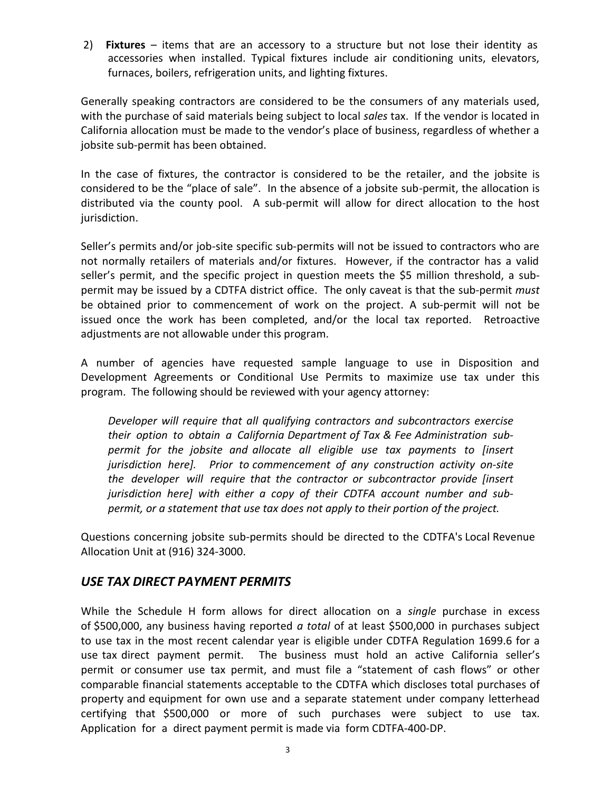2) **Fixtures** – items that are an accessory to a structure but not lose their identity as accessories when installed. Typical fixtures include air conditioning units, elevators, furnaces, boilers, refrigeration units, and lighting fixtures.

Generally speaking contractors are considered to be the consumers of any materials used, with the purchase of said materials being subject to local *sales* tax. If the vendor is located in California allocation must be made to the vendor's place of business, regardless of whether a jobsite sub-permit has been obtained.

In the case of fixtures, the contractor is considered to be the retailer, and the jobsite is considered to be the "place of sale". In the absence of a jobsite sub-permit, the allocation is distributed via the county pool. A sub-permit will allow for direct allocation to the host jurisdiction.

Seller's permits and/or job-site specific sub-permits will not be issued to contractors who are not normally retailers of materials and/or fixtures. However, if the contractor has a valid seller's permit, and the specific project in question meets the \$5 million threshold, a subpermit may be issued by a CDTFA district office. The only caveat is that the sub-permit *must* be obtained prior to commencement of work on the project. A sub-permit will not be issued once the work has been completed, and/or the local tax reported. Retroactive adjustments are not allowable under this program.

A number of agencies have requested sample language to use in Disposition and Development Agreements or Conditional Use Permits to maximize use tax under this program. The following should be reviewed with your agency attorney:

*Developer will require that all qualifying contractors and subcontractors exercise their option to obtain a California Department of Tax & Fee Administration subpermit for the jobsite and allocate all eligible use tax payments to [insert jurisdiction here]. Prior to commencement of any construction activity on-site the developer will require that the contractor or subcontractor provide [insert jurisdiction here] with either a copy of their CDTFA account number and subpermit, or a statement that use tax does not apply to their portion of the project.* 

Questions concerning jobsite sub-permits should be directed to the CDTFA's Local Revenue Allocation Unit at (916) 324-3000.

## *USE TAX DIRECT PAYMENT PERMITS*

While the Schedule H form allows for direct allocation on a *single* purchase in excess of \$500,000, any business having reported *a total* of at least \$500,000 in purchases subject to use tax in the most recent calendar year is eligible under CDTFA Regulation 1699.6 for a use tax direct payment permit. The business must hold an active California seller's permit or consumer use tax permit, and must file a "statement of cash flows" or other comparable financial statements acceptable to the CDTFA which discloses total purchases of property and equipment for own use and a separate statement under company letterhead certifying that \$500,000 or more of such purchases were subject to use tax. Application for a direct payment permit is made via form CDTFA-400-DP.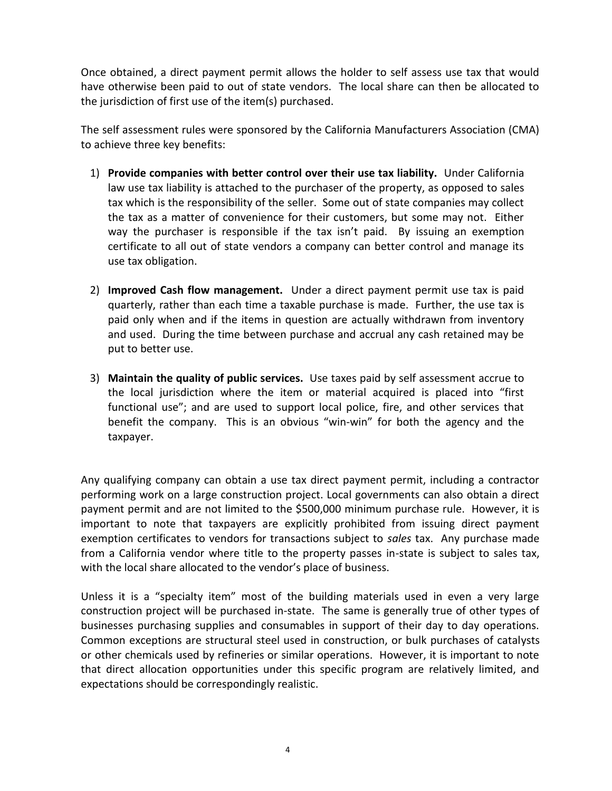Once obtained, a direct payment permit allows the holder to self assess use tax that would have otherwise been paid to out of state vendors. The local share can then be allocated to the jurisdiction of first use of the item(s) purchased.

The self assessment rules were sponsored by the California Manufacturers Association (CMA) to achieve three key benefits:

- 1) **Provide companies with better control over their use tax liability.** Under California law use tax liability is attached to the purchaser of the property, as opposed to sales tax which is the responsibility of the seller. Some out of state companies may collect the tax as a matter of convenience for their customers, but some may not. Either way the purchaser is responsible if the tax isn't paid. By issuing an exemption certificate to all out of state vendors a company can better control and manage its use tax obligation.
- 2) **Improved Cash flow management.** Under a direct payment permit use tax is paid quarterly, rather than each time a taxable purchase is made. Further, the use tax is paid only when and if the items in question are actually withdrawn from inventory and used. During the time between purchase and accrual any cash retained may be put to better use.
- 3) **Maintain the quality of public services.** Use taxes paid by self assessment accrue to the local jurisdiction where the item or material acquired is placed into "first functional use"; and are used to support local police, fire, and other services that benefit the company. This is an obvious "win-win" for both the agency and the taxpayer.

Any qualifying company can obtain a use tax direct payment permit, including a contractor performing work on a large construction project. Local governments can also obtain a direct payment permit and are not limited to the \$500,000 minimum purchase rule. However, it is important to note that taxpayers are explicitly prohibited from issuing direct payment exemption certificates to vendors for transactions subject to *sales* tax. Any purchase made from a California vendor where title to the property passes in-state is subject to sales tax, with the local share allocated to the vendor's place of business.

Unless it is a "specialty item" most of the building materials used in even a very large construction project will be purchased in-state. The same is generally true of other types of businesses purchasing supplies and consumables in support of their day to day operations. Common exceptions are structural steel used in construction, or bulk purchases of catalysts or other chemicals used by refineries or similar operations. However, it is important to note that direct allocation opportunities under this specific program are relatively limited, and expectations should be correspondingly realistic.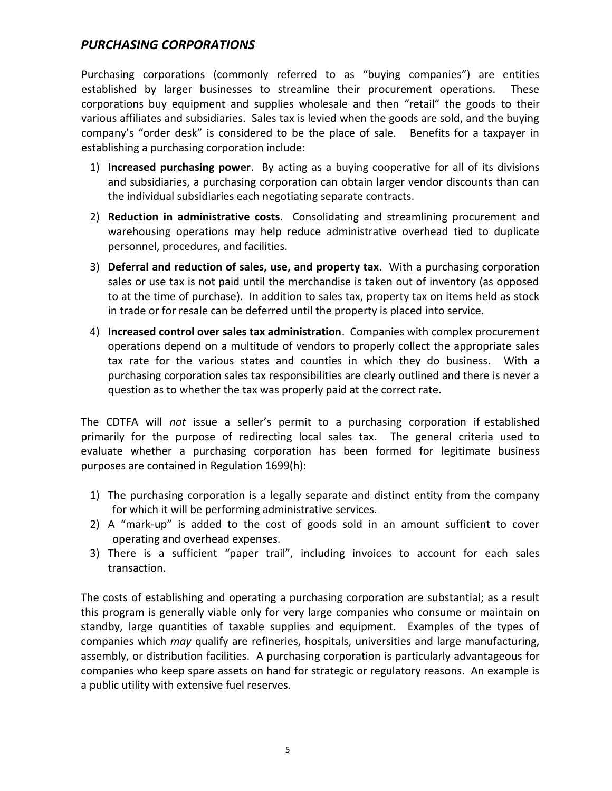## *PURCHASING CORPORATIONS*

Purchasing corporations (commonly referred to as "buying companies") are entities established by larger businesses to streamline their procurement operations. These corporations buy equipment and supplies wholesale and then "retail" the goods to their various affiliates and subsidiaries. Sales tax is levied when the goods are sold, and the buying company's "order desk" is considered to be the place of sale. Benefits for a taxpayer in establishing a purchasing corporation include:

- 1) **Increased purchasing power**. By acting as a buying cooperative for all of its divisions and subsidiaries, a purchasing corporation can obtain larger vendor discounts than can the individual subsidiaries each negotiating separate contracts.
- 2) **Reduction in administrative costs**. Consolidating and streamlining procurement and warehousing operations may help reduce administrative overhead tied to duplicate personnel, procedures, and facilities.
- 3) **Deferral and reduction of sales, use, and property tax**. With a purchasing corporation sales or use tax is not paid until the merchandise is taken out of inventory (as opposed to at the time of purchase). In addition to sales tax, property tax on items held as stock in trade or for resale can be deferred until the property is placed into service.
- 4) **Increased control over sales tax administration**. Companies with complex procurement operations depend on a multitude of vendors to properly collect the appropriate sales tax rate for the various states and counties in which they do business. With a purchasing corporation sales tax responsibilities are clearly outlined and there is never a question as to whether the tax was properly paid at the correct rate.

The CDTFA will *not* issue a seller's permit to a purchasing corporation if established primarily for the purpose of redirecting local sales tax. The general criteria used to evaluate whether a purchasing corporation has been formed for legitimate business purposes are contained in Regulation 1699(h):

- 1) The purchasing corporation is a legally separate and distinct entity from the company for which it will be performing administrative services.
- 2) A "mark-up" is added to the cost of goods sold in an amount sufficient to cover operating and overhead expenses.
- 3) There is a sufficient "paper trail", including invoices to account for each sales transaction.

The costs of establishing and operating a purchasing corporation are substantial; as a result this program is generally viable only for very large companies who consume or maintain on standby, large quantities of taxable supplies and equipment. Examples of the types of companies which *may* qualify are refineries, hospitals, universities and large manufacturing, assembly, or distribution facilities. A purchasing corporation is particularly advantageous for companies who keep spare assets on hand for strategic or regulatory reasons. An example is a public utility with extensive fuel reserves.